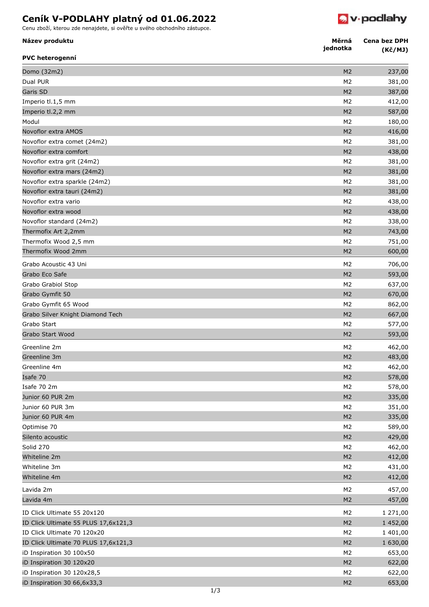## **Ceník V-PODLAHY platný od 01.06.2022**

Cenu zboží, kterou zde nenajdete, si ověřte u svého obchodního zástupce.



**Měrná**

| Název produktu                       | Měrná<br>jednotka | Cena bez DPH<br>(Kč/MJ) |
|--------------------------------------|-------------------|-------------------------|
| <b>PVC heterogenní</b>               |                   |                         |
| Domo (32m2)                          | M <sub>2</sub>    | 237,00                  |
| Dual PUR                             | M <sub>2</sub>    | 381,00                  |
| Garis SD                             | M <sub>2</sub>    | 387,00                  |
| Imperio tl.1,5 mm                    | M <sub>2</sub>    | 412,00                  |
| Imperio tl.2,2 mm                    | M <sub>2</sub>    | 587,00                  |
| Modul                                | M <sub>2</sub>    | 180,00                  |
| Novoflor extra AMOS                  | M <sub>2</sub>    | 416,00                  |
| Novoflor extra comet (24m2)          | M <sub>2</sub>    | 381,00                  |
| Novoflor extra comfort               | M <sub>2</sub>    | 438,00                  |
| Novoflor extra grit (24m2)           | M <sub>2</sub>    | 381,00                  |
| Novoflor extra mars (24m2)           | M <sub>2</sub>    | 381,00                  |
| Novoflor extra sparkle (24m2)        | M <sub>2</sub>    | 381,00                  |
| Novoflor extra tauri (24m2)          | M <sub>2</sub>    | 381,00                  |
| Novoflor extra vario                 | M <sub>2</sub>    | 438,00                  |
| Novoflor extra wood                  | M <sub>2</sub>    | 438,00                  |
| Novoflor standard (24m2)             | M <sub>2</sub>    | 338,00                  |
| Thermofix Art 2,2mm                  | M <sub>2</sub>    | 743,00                  |
| Thermofix Wood 2,5 mm                | M <sub>2</sub>    | 751,00                  |
| Thermofix Wood 2mm                   | M <sub>2</sub>    | 600,00                  |
| Grabo Acoustic 43 Uni                | M <sub>2</sub>    | 706,00                  |
| Grabo Eco Safe                       | M <sub>2</sub>    | 593,00                  |
| Grabo Grabiol Stop                   | M <sub>2</sub>    | 637,00                  |
| Grabo Gymfit 50                      | M <sub>2</sub>    | 670,00                  |
| Grabo Gymfit 65 Wood                 | M <sub>2</sub>    | 862,00                  |
| Grabo Silver Knight Diamond Tech     | M <sub>2</sub>    | 667,00                  |
| Grabo Start                          | M <sub>2</sub>    | 577,00                  |
| Grabo Start Wood                     | M <sub>2</sub>    | 593,00                  |
| Greenline 2m                         | M <sub>2</sub>    | 462,00                  |
| Greenline 3m                         | M <sub>2</sub>    | 483,00                  |
| Greenline 4m                         | M <sub>2</sub>    | 462,00                  |
| Isafe 70                             | M <sub>2</sub>    | 578,00                  |
| Isafe 70 2m                          | M <sub>2</sub>    | 578,00                  |
| Junior 60 PUR 2m                     | M <sub>2</sub>    | 335,00                  |
| Junior 60 PUR 3m                     | M <sub>2</sub>    | 351,00                  |
| Junior 60 PUR 4m                     | M <sub>2</sub>    |                         |
|                                      | M <sub>2</sub>    | 335,00                  |
| Optimise 70                          |                   | 589,00                  |
| Silento acoustic                     | M <sub>2</sub>    | 429,00                  |
| Solid 270                            | M <sub>2</sub>    | 462,00                  |
| Whiteline 2m                         | M <sub>2</sub>    | 412,00                  |
| Whiteline 3m                         | M <sub>2</sub>    | 431,00                  |
| Whiteline 4m                         | M <sub>2</sub>    | 412,00                  |
| Lavida 2m                            | M <sub>2</sub>    | 457,00                  |
| Lavida 4m                            | M <sub>2</sub>    | 457,00                  |
| ID Click Ultimate 55 20x120          | M <sub>2</sub>    | 1 271,00                |
| ID Click Ultimate 55 PLUS 17,6x121,3 | M <sub>2</sub>    | 1 452,00                |
| ID Click Ultimate 70 120x20          | M <sub>2</sub>    | 1 401,00                |
| ID Click Ultimate 70 PLUS 17,6x121,3 | M <sub>2</sub>    | 1 630,00                |
| iD Inspiration 30 100x50             | M <sub>2</sub>    | 653,00                  |
| iD Inspiration 30 120x20             | M <sub>2</sub>    | 622,00                  |
| iD Inspiration 30 120x28,5           | M <sub>2</sub>    | 622,00                  |
| iD Inspiration 30 66,6x33,3          | M <sub>2</sub>    | 653,00                  |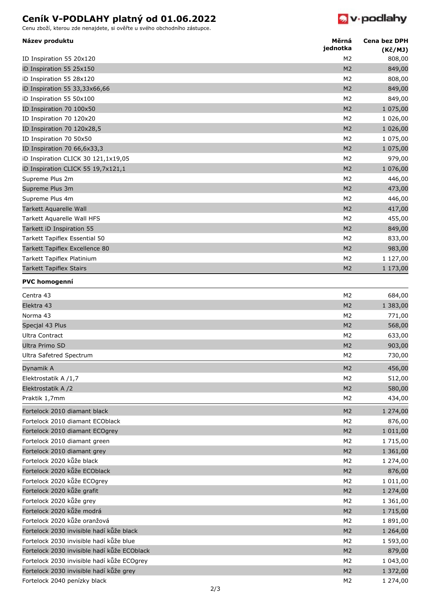## **Ceník V-PODLAHY platný od 01.06.2022**





| 808,00<br>ID Inspiration 55 20x120<br>M2<br>M <sub>2</sub><br>iD Inspiration 55 25x150<br>849,00<br>M <sub>2</sub><br>iD Inspiration 55 28x120<br>808,00<br>M <sub>2</sub><br>iD Inspiration 55 33,33x66,66<br>849,00<br>iD Inspiration 55 50x100<br>M <sub>2</sub><br>849,00<br>ID Inspiration 70 100x50<br>M <sub>2</sub><br>1 075,00<br>M <sub>2</sub><br>1 026,00<br>M <sub>2</sub><br>1 026,00<br>ID Inspiration 70 120x28,5<br>ID Inspiration 70 50x50<br>M2<br>1 075,00<br>M <sub>2</sub><br>ID Inspiration 70 66,6x33,3<br>1 075,00<br>M <sub>2</sub><br>iD Inspiration CLICK 30 121,1x19,05<br>979,00<br>M <sub>2</sub><br>1 076,00<br>iD Inspiration CLICK 55 19,7x121,1<br>Supreme Plus 2m<br>M <sub>2</sub><br>446,00<br>Supreme Plus 3m<br>M <sub>2</sub><br>473,00<br>Supreme Plus 4m<br>M <sub>2</sub><br>446,00<br>Tarkett Aquarelle Wall<br>M <sub>2</sub><br>417,00<br>M <sub>2</sub><br>Tarkett Aquarelle Wall HFS<br>455,00<br>Tarkett iD Inspiration 55<br>M <sub>2</sub><br>849,00<br>Tarkett Tapiflex Essential 50<br>M <sub>2</sub><br>833,00<br>M <sub>2</sub><br>Tarkett Tapiflex Excellence 80<br>983,00<br>Tarkett Tapiflex Platinium<br>M <sub>2</sub><br>1 127,00<br><b>Tarkett Tapiflex Stairs</b><br>M <sub>2</sub><br>1 173,00<br><b>PVC homogenní</b><br>M <sub>2</sub><br>Centra 43<br>684,00<br>Elektra 43<br>M <sub>2</sub><br>1 383,00<br>Norma 43<br>M <sub>2</sub><br>771,00<br>Specjal 43 Plus<br>M <sub>2</sub><br>568,00<br>Ultra Contract<br>M2<br>633,00<br>Ultra Primo SD<br>M <sub>2</sub><br>903,00<br>M <sub>2</sub><br>730,00<br>Ultra Safetred Spectrum<br>M <sub>2</sub><br>456,00<br>Dynamik A<br>M <sub>2</sub><br>512,00<br>Elektrostatik A /1,7<br>Elektrostatik A /2<br>M <sub>2</sub><br>580,00<br>Praktik 1,7mm<br>M <sub>2</sub><br>434,00<br>M <sub>2</sub><br>1 274,00<br>Fortelock 2010 diamant black<br>Fortelock 2010 diamant ECOblack<br>M <sub>2</sub><br>876,00<br>1 011,00<br>Fortelock 2010 diamant ECOgrey<br>M <sub>2</sub><br>1 715,00<br>Fortelock 2010 diamant green<br>M <sub>2</sub><br>Fortelock 2010 diamant grey<br>M <sub>2</sub><br>1 361,00<br>Fortelock 2020 kůže black<br>M <sub>2</sub><br>1 274,00<br>Fortelock 2020 kůže ECOblack<br>876,00<br>M <sub>2</sub><br>Fortelock 2020 kůže ECOgrey<br>M <sub>2</sub><br>1 011,00<br>Fortelock 2020 kůže grafit<br>M <sub>2</sub><br>1 274,00<br>Fortelock 2020 kůže grey<br>M <sub>2</sub><br>1 361,00<br>Fortelock 2020 kůže modrá<br>1 715,00<br>M <sub>2</sub><br>Fortelock 2020 kůže oranžová<br>1891,00<br>M <sub>2</sub><br>Fortelock 2030 invisible hadí kůže black<br>M <sub>2</sub><br>1 264,00<br>Fortelock 2030 invisible hadí kůže blue<br>1 593,00<br>M <sub>2</sub><br>Fortelock 2030 invisible hadí kůže ECOblack<br>M <sub>2</sub><br>879,00<br>Fortelock 2030 invisible hadí kůže ECOgrey<br>M <sub>2</sub><br>1 043,00<br>Fortelock 2030 invisible hadí kůže grey<br>1 372,00<br>M <sub>2</sub> | Název produktu               | Měrná<br>jednotka | <b>Cena bez DPH</b><br>(Kč/MJ) |
|-----------------------------------------------------------------------------------------------------------------------------------------------------------------------------------------------------------------------------------------------------------------------------------------------------------------------------------------------------------------------------------------------------------------------------------------------------------------------------------------------------------------------------------------------------------------------------------------------------------------------------------------------------------------------------------------------------------------------------------------------------------------------------------------------------------------------------------------------------------------------------------------------------------------------------------------------------------------------------------------------------------------------------------------------------------------------------------------------------------------------------------------------------------------------------------------------------------------------------------------------------------------------------------------------------------------------------------------------------------------------------------------------------------------------------------------------------------------------------------------------------------------------------------------------------------------------------------------------------------------------------------------------------------------------------------------------------------------------------------------------------------------------------------------------------------------------------------------------------------------------------------------------------------------------------------------------------------------------------------------------------------------------------------------------------------------------------------------------------------------------------------------------------------------------------------------------------------------------------------------------------------------------------------------------------------------------------------------------------------------------------------------------------------------------------------------------------------------------------------------------------------------------------------------------------------------------------------------------------------------------------------------------------------------------------------------------------------------------------------------------------------------------------------------------------------------------------------------------------------------------------------------------------------------------------------------------------|------------------------------|-------------------|--------------------------------|
|                                                                                                                                                                                                                                                                                                                                                                                                                                                                                                                                                                                                                                                                                                                                                                                                                                                                                                                                                                                                                                                                                                                                                                                                                                                                                                                                                                                                                                                                                                                                                                                                                                                                                                                                                                                                                                                                                                                                                                                                                                                                                                                                                                                                                                                                                                                                                                                                                                                                                                                                                                                                                                                                                                                                                                                                                                                                                                                                                     |                              |                   |                                |
|                                                                                                                                                                                                                                                                                                                                                                                                                                                                                                                                                                                                                                                                                                                                                                                                                                                                                                                                                                                                                                                                                                                                                                                                                                                                                                                                                                                                                                                                                                                                                                                                                                                                                                                                                                                                                                                                                                                                                                                                                                                                                                                                                                                                                                                                                                                                                                                                                                                                                                                                                                                                                                                                                                                                                                                                                                                                                                                                                     |                              |                   |                                |
|                                                                                                                                                                                                                                                                                                                                                                                                                                                                                                                                                                                                                                                                                                                                                                                                                                                                                                                                                                                                                                                                                                                                                                                                                                                                                                                                                                                                                                                                                                                                                                                                                                                                                                                                                                                                                                                                                                                                                                                                                                                                                                                                                                                                                                                                                                                                                                                                                                                                                                                                                                                                                                                                                                                                                                                                                                                                                                                                                     |                              |                   |                                |
|                                                                                                                                                                                                                                                                                                                                                                                                                                                                                                                                                                                                                                                                                                                                                                                                                                                                                                                                                                                                                                                                                                                                                                                                                                                                                                                                                                                                                                                                                                                                                                                                                                                                                                                                                                                                                                                                                                                                                                                                                                                                                                                                                                                                                                                                                                                                                                                                                                                                                                                                                                                                                                                                                                                                                                                                                                                                                                                                                     |                              |                   |                                |
|                                                                                                                                                                                                                                                                                                                                                                                                                                                                                                                                                                                                                                                                                                                                                                                                                                                                                                                                                                                                                                                                                                                                                                                                                                                                                                                                                                                                                                                                                                                                                                                                                                                                                                                                                                                                                                                                                                                                                                                                                                                                                                                                                                                                                                                                                                                                                                                                                                                                                                                                                                                                                                                                                                                                                                                                                                                                                                                                                     |                              |                   |                                |
|                                                                                                                                                                                                                                                                                                                                                                                                                                                                                                                                                                                                                                                                                                                                                                                                                                                                                                                                                                                                                                                                                                                                                                                                                                                                                                                                                                                                                                                                                                                                                                                                                                                                                                                                                                                                                                                                                                                                                                                                                                                                                                                                                                                                                                                                                                                                                                                                                                                                                                                                                                                                                                                                                                                                                                                                                                                                                                                                                     |                              |                   |                                |
|                                                                                                                                                                                                                                                                                                                                                                                                                                                                                                                                                                                                                                                                                                                                                                                                                                                                                                                                                                                                                                                                                                                                                                                                                                                                                                                                                                                                                                                                                                                                                                                                                                                                                                                                                                                                                                                                                                                                                                                                                                                                                                                                                                                                                                                                                                                                                                                                                                                                                                                                                                                                                                                                                                                                                                                                                                                                                                                                                     | ID Inspiration 70 120x20     |                   |                                |
|                                                                                                                                                                                                                                                                                                                                                                                                                                                                                                                                                                                                                                                                                                                                                                                                                                                                                                                                                                                                                                                                                                                                                                                                                                                                                                                                                                                                                                                                                                                                                                                                                                                                                                                                                                                                                                                                                                                                                                                                                                                                                                                                                                                                                                                                                                                                                                                                                                                                                                                                                                                                                                                                                                                                                                                                                                                                                                                                                     |                              |                   |                                |
|                                                                                                                                                                                                                                                                                                                                                                                                                                                                                                                                                                                                                                                                                                                                                                                                                                                                                                                                                                                                                                                                                                                                                                                                                                                                                                                                                                                                                                                                                                                                                                                                                                                                                                                                                                                                                                                                                                                                                                                                                                                                                                                                                                                                                                                                                                                                                                                                                                                                                                                                                                                                                                                                                                                                                                                                                                                                                                                                                     |                              |                   |                                |
|                                                                                                                                                                                                                                                                                                                                                                                                                                                                                                                                                                                                                                                                                                                                                                                                                                                                                                                                                                                                                                                                                                                                                                                                                                                                                                                                                                                                                                                                                                                                                                                                                                                                                                                                                                                                                                                                                                                                                                                                                                                                                                                                                                                                                                                                                                                                                                                                                                                                                                                                                                                                                                                                                                                                                                                                                                                                                                                                                     |                              |                   |                                |
|                                                                                                                                                                                                                                                                                                                                                                                                                                                                                                                                                                                                                                                                                                                                                                                                                                                                                                                                                                                                                                                                                                                                                                                                                                                                                                                                                                                                                                                                                                                                                                                                                                                                                                                                                                                                                                                                                                                                                                                                                                                                                                                                                                                                                                                                                                                                                                                                                                                                                                                                                                                                                                                                                                                                                                                                                                                                                                                                                     |                              |                   |                                |
|                                                                                                                                                                                                                                                                                                                                                                                                                                                                                                                                                                                                                                                                                                                                                                                                                                                                                                                                                                                                                                                                                                                                                                                                                                                                                                                                                                                                                                                                                                                                                                                                                                                                                                                                                                                                                                                                                                                                                                                                                                                                                                                                                                                                                                                                                                                                                                                                                                                                                                                                                                                                                                                                                                                                                                                                                                                                                                                                                     |                              |                   |                                |
|                                                                                                                                                                                                                                                                                                                                                                                                                                                                                                                                                                                                                                                                                                                                                                                                                                                                                                                                                                                                                                                                                                                                                                                                                                                                                                                                                                                                                                                                                                                                                                                                                                                                                                                                                                                                                                                                                                                                                                                                                                                                                                                                                                                                                                                                                                                                                                                                                                                                                                                                                                                                                                                                                                                                                                                                                                                                                                                                                     |                              |                   |                                |
|                                                                                                                                                                                                                                                                                                                                                                                                                                                                                                                                                                                                                                                                                                                                                                                                                                                                                                                                                                                                                                                                                                                                                                                                                                                                                                                                                                                                                                                                                                                                                                                                                                                                                                                                                                                                                                                                                                                                                                                                                                                                                                                                                                                                                                                                                                                                                                                                                                                                                                                                                                                                                                                                                                                                                                                                                                                                                                                                                     |                              |                   |                                |
|                                                                                                                                                                                                                                                                                                                                                                                                                                                                                                                                                                                                                                                                                                                                                                                                                                                                                                                                                                                                                                                                                                                                                                                                                                                                                                                                                                                                                                                                                                                                                                                                                                                                                                                                                                                                                                                                                                                                                                                                                                                                                                                                                                                                                                                                                                                                                                                                                                                                                                                                                                                                                                                                                                                                                                                                                                                                                                                                                     |                              |                   |                                |
|                                                                                                                                                                                                                                                                                                                                                                                                                                                                                                                                                                                                                                                                                                                                                                                                                                                                                                                                                                                                                                                                                                                                                                                                                                                                                                                                                                                                                                                                                                                                                                                                                                                                                                                                                                                                                                                                                                                                                                                                                                                                                                                                                                                                                                                                                                                                                                                                                                                                                                                                                                                                                                                                                                                                                                                                                                                                                                                                                     |                              |                   |                                |
|                                                                                                                                                                                                                                                                                                                                                                                                                                                                                                                                                                                                                                                                                                                                                                                                                                                                                                                                                                                                                                                                                                                                                                                                                                                                                                                                                                                                                                                                                                                                                                                                                                                                                                                                                                                                                                                                                                                                                                                                                                                                                                                                                                                                                                                                                                                                                                                                                                                                                                                                                                                                                                                                                                                                                                                                                                                                                                                                                     |                              |                   |                                |
|                                                                                                                                                                                                                                                                                                                                                                                                                                                                                                                                                                                                                                                                                                                                                                                                                                                                                                                                                                                                                                                                                                                                                                                                                                                                                                                                                                                                                                                                                                                                                                                                                                                                                                                                                                                                                                                                                                                                                                                                                                                                                                                                                                                                                                                                                                                                                                                                                                                                                                                                                                                                                                                                                                                                                                                                                                                                                                                                                     |                              |                   |                                |
|                                                                                                                                                                                                                                                                                                                                                                                                                                                                                                                                                                                                                                                                                                                                                                                                                                                                                                                                                                                                                                                                                                                                                                                                                                                                                                                                                                                                                                                                                                                                                                                                                                                                                                                                                                                                                                                                                                                                                                                                                                                                                                                                                                                                                                                                                                                                                                                                                                                                                                                                                                                                                                                                                                                                                                                                                                                                                                                                                     |                              |                   |                                |
|                                                                                                                                                                                                                                                                                                                                                                                                                                                                                                                                                                                                                                                                                                                                                                                                                                                                                                                                                                                                                                                                                                                                                                                                                                                                                                                                                                                                                                                                                                                                                                                                                                                                                                                                                                                                                                                                                                                                                                                                                                                                                                                                                                                                                                                                                                                                                                                                                                                                                                                                                                                                                                                                                                                                                                                                                                                                                                                                                     |                              |                   |                                |
|                                                                                                                                                                                                                                                                                                                                                                                                                                                                                                                                                                                                                                                                                                                                                                                                                                                                                                                                                                                                                                                                                                                                                                                                                                                                                                                                                                                                                                                                                                                                                                                                                                                                                                                                                                                                                                                                                                                                                                                                                                                                                                                                                                                                                                                                                                                                                                                                                                                                                                                                                                                                                                                                                                                                                                                                                                                                                                                                                     |                              |                   |                                |
|                                                                                                                                                                                                                                                                                                                                                                                                                                                                                                                                                                                                                                                                                                                                                                                                                                                                                                                                                                                                                                                                                                                                                                                                                                                                                                                                                                                                                                                                                                                                                                                                                                                                                                                                                                                                                                                                                                                                                                                                                                                                                                                                                                                                                                                                                                                                                                                                                                                                                                                                                                                                                                                                                                                                                                                                                                                                                                                                                     |                              |                   |                                |
|                                                                                                                                                                                                                                                                                                                                                                                                                                                                                                                                                                                                                                                                                                                                                                                                                                                                                                                                                                                                                                                                                                                                                                                                                                                                                                                                                                                                                                                                                                                                                                                                                                                                                                                                                                                                                                                                                                                                                                                                                                                                                                                                                                                                                                                                                                                                                                                                                                                                                                                                                                                                                                                                                                                                                                                                                                                                                                                                                     |                              |                   |                                |
|                                                                                                                                                                                                                                                                                                                                                                                                                                                                                                                                                                                                                                                                                                                                                                                                                                                                                                                                                                                                                                                                                                                                                                                                                                                                                                                                                                                                                                                                                                                                                                                                                                                                                                                                                                                                                                                                                                                                                                                                                                                                                                                                                                                                                                                                                                                                                                                                                                                                                                                                                                                                                                                                                                                                                                                                                                                                                                                                                     |                              |                   |                                |
|                                                                                                                                                                                                                                                                                                                                                                                                                                                                                                                                                                                                                                                                                                                                                                                                                                                                                                                                                                                                                                                                                                                                                                                                                                                                                                                                                                                                                                                                                                                                                                                                                                                                                                                                                                                                                                                                                                                                                                                                                                                                                                                                                                                                                                                                                                                                                                                                                                                                                                                                                                                                                                                                                                                                                                                                                                                                                                                                                     |                              |                   |                                |
|                                                                                                                                                                                                                                                                                                                                                                                                                                                                                                                                                                                                                                                                                                                                                                                                                                                                                                                                                                                                                                                                                                                                                                                                                                                                                                                                                                                                                                                                                                                                                                                                                                                                                                                                                                                                                                                                                                                                                                                                                                                                                                                                                                                                                                                                                                                                                                                                                                                                                                                                                                                                                                                                                                                                                                                                                                                                                                                                                     |                              |                   |                                |
|                                                                                                                                                                                                                                                                                                                                                                                                                                                                                                                                                                                                                                                                                                                                                                                                                                                                                                                                                                                                                                                                                                                                                                                                                                                                                                                                                                                                                                                                                                                                                                                                                                                                                                                                                                                                                                                                                                                                                                                                                                                                                                                                                                                                                                                                                                                                                                                                                                                                                                                                                                                                                                                                                                                                                                                                                                                                                                                                                     |                              |                   |                                |
|                                                                                                                                                                                                                                                                                                                                                                                                                                                                                                                                                                                                                                                                                                                                                                                                                                                                                                                                                                                                                                                                                                                                                                                                                                                                                                                                                                                                                                                                                                                                                                                                                                                                                                                                                                                                                                                                                                                                                                                                                                                                                                                                                                                                                                                                                                                                                                                                                                                                                                                                                                                                                                                                                                                                                                                                                                                                                                                                                     |                              |                   |                                |
|                                                                                                                                                                                                                                                                                                                                                                                                                                                                                                                                                                                                                                                                                                                                                                                                                                                                                                                                                                                                                                                                                                                                                                                                                                                                                                                                                                                                                                                                                                                                                                                                                                                                                                                                                                                                                                                                                                                                                                                                                                                                                                                                                                                                                                                                                                                                                                                                                                                                                                                                                                                                                                                                                                                                                                                                                                                                                                                                                     |                              |                   |                                |
|                                                                                                                                                                                                                                                                                                                                                                                                                                                                                                                                                                                                                                                                                                                                                                                                                                                                                                                                                                                                                                                                                                                                                                                                                                                                                                                                                                                                                                                                                                                                                                                                                                                                                                                                                                                                                                                                                                                                                                                                                                                                                                                                                                                                                                                                                                                                                                                                                                                                                                                                                                                                                                                                                                                                                                                                                                                                                                                                                     |                              |                   |                                |
|                                                                                                                                                                                                                                                                                                                                                                                                                                                                                                                                                                                                                                                                                                                                                                                                                                                                                                                                                                                                                                                                                                                                                                                                                                                                                                                                                                                                                                                                                                                                                                                                                                                                                                                                                                                                                                                                                                                                                                                                                                                                                                                                                                                                                                                                                                                                                                                                                                                                                                                                                                                                                                                                                                                                                                                                                                                                                                                                                     |                              |                   |                                |
|                                                                                                                                                                                                                                                                                                                                                                                                                                                                                                                                                                                                                                                                                                                                                                                                                                                                                                                                                                                                                                                                                                                                                                                                                                                                                                                                                                                                                                                                                                                                                                                                                                                                                                                                                                                                                                                                                                                                                                                                                                                                                                                                                                                                                                                                                                                                                                                                                                                                                                                                                                                                                                                                                                                                                                                                                                                                                                                                                     |                              |                   |                                |
|                                                                                                                                                                                                                                                                                                                                                                                                                                                                                                                                                                                                                                                                                                                                                                                                                                                                                                                                                                                                                                                                                                                                                                                                                                                                                                                                                                                                                                                                                                                                                                                                                                                                                                                                                                                                                                                                                                                                                                                                                                                                                                                                                                                                                                                                                                                                                                                                                                                                                                                                                                                                                                                                                                                                                                                                                                                                                                                                                     |                              |                   |                                |
|                                                                                                                                                                                                                                                                                                                                                                                                                                                                                                                                                                                                                                                                                                                                                                                                                                                                                                                                                                                                                                                                                                                                                                                                                                                                                                                                                                                                                                                                                                                                                                                                                                                                                                                                                                                                                                                                                                                                                                                                                                                                                                                                                                                                                                                                                                                                                                                                                                                                                                                                                                                                                                                                                                                                                                                                                                                                                                                                                     |                              |                   |                                |
|                                                                                                                                                                                                                                                                                                                                                                                                                                                                                                                                                                                                                                                                                                                                                                                                                                                                                                                                                                                                                                                                                                                                                                                                                                                                                                                                                                                                                                                                                                                                                                                                                                                                                                                                                                                                                                                                                                                                                                                                                                                                                                                                                                                                                                                                                                                                                                                                                                                                                                                                                                                                                                                                                                                                                                                                                                                                                                                                                     |                              |                   |                                |
|                                                                                                                                                                                                                                                                                                                                                                                                                                                                                                                                                                                                                                                                                                                                                                                                                                                                                                                                                                                                                                                                                                                                                                                                                                                                                                                                                                                                                                                                                                                                                                                                                                                                                                                                                                                                                                                                                                                                                                                                                                                                                                                                                                                                                                                                                                                                                                                                                                                                                                                                                                                                                                                                                                                                                                                                                                                                                                                                                     |                              |                   |                                |
|                                                                                                                                                                                                                                                                                                                                                                                                                                                                                                                                                                                                                                                                                                                                                                                                                                                                                                                                                                                                                                                                                                                                                                                                                                                                                                                                                                                                                                                                                                                                                                                                                                                                                                                                                                                                                                                                                                                                                                                                                                                                                                                                                                                                                                                                                                                                                                                                                                                                                                                                                                                                                                                                                                                                                                                                                                                                                                                                                     |                              |                   |                                |
|                                                                                                                                                                                                                                                                                                                                                                                                                                                                                                                                                                                                                                                                                                                                                                                                                                                                                                                                                                                                                                                                                                                                                                                                                                                                                                                                                                                                                                                                                                                                                                                                                                                                                                                                                                                                                                                                                                                                                                                                                                                                                                                                                                                                                                                                                                                                                                                                                                                                                                                                                                                                                                                                                                                                                                                                                                                                                                                                                     |                              |                   |                                |
|                                                                                                                                                                                                                                                                                                                                                                                                                                                                                                                                                                                                                                                                                                                                                                                                                                                                                                                                                                                                                                                                                                                                                                                                                                                                                                                                                                                                                                                                                                                                                                                                                                                                                                                                                                                                                                                                                                                                                                                                                                                                                                                                                                                                                                                                                                                                                                                                                                                                                                                                                                                                                                                                                                                                                                                                                                                                                                                                                     |                              |                   |                                |
|                                                                                                                                                                                                                                                                                                                                                                                                                                                                                                                                                                                                                                                                                                                                                                                                                                                                                                                                                                                                                                                                                                                                                                                                                                                                                                                                                                                                                                                                                                                                                                                                                                                                                                                                                                                                                                                                                                                                                                                                                                                                                                                                                                                                                                                                                                                                                                                                                                                                                                                                                                                                                                                                                                                                                                                                                                                                                                                                                     |                              |                   |                                |
|                                                                                                                                                                                                                                                                                                                                                                                                                                                                                                                                                                                                                                                                                                                                                                                                                                                                                                                                                                                                                                                                                                                                                                                                                                                                                                                                                                                                                                                                                                                                                                                                                                                                                                                                                                                                                                                                                                                                                                                                                                                                                                                                                                                                                                                                                                                                                                                                                                                                                                                                                                                                                                                                                                                                                                                                                                                                                                                                                     |                              |                   |                                |
|                                                                                                                                                                                                                                                                                                                                                                                                                                                                                                                                                                                                                                                                                                                                                                                                                                                                                                                                                                                                                                                                                                                                                                                                                                                                                                                                                                                                                                                                                                                                                                                                                                                                                                                                                                                                                                                                                                                                                                                                                                                                                                                                                                                                                                                                                                                                                                                                                                                                                                                                                                                                                                                                                                                                                                                                                                                                                                                                                     |                              |                   |                                |
|                                                                                                                                                                                                                                                                                                                                                                                                                                                                                                                                                                                                                                                                                                                                                                                                                                                                                                                                                                                                                                                                                                                                                                                                                                                                                                                                                                                                                                                                                                                                                                                                                                                                                                                                                                                                                                                                                                                                                                                                                                                                                                                                                                                                                                                                                                                                                                                                                                                                                                                                                                                                                                                                                                                                                                                                                                                                                                                                                     |                              |                   |                                |
|                                                                                                                                                                                                                                                                                                                                                                                                                                                                                                                                                                                                                                                                                                                                                                                                                                                                                                                                                                                                                                                                                                                                                                                                                                                                                                                                                                                                                                                                                                                                                                                                                                                                                                                                                                                                                                                                                                                                                                                                                                                                                                                                                                                                                                                                                                                                                                                                                                                                                                                                                                                                                                                                                                                                                                                                                                                                                                                                                     |                              |                   |                                |
|                                                                                                                                                                                                                                                                                                                                                                                                                                                                                                                                                                                                                                                                                                                                                                                                                                                                                                                                                                                                                                                                                                                                                                                                                                                                                                                                                                                                                                                                                                                                                                                                                                                                                                                                                                                                                                                                                                                                                                                                                                                                                                                                                                                                                                                                                                                                                                                                                                                                                                                                                                                                                                                                                                                                                                                                                                                                                                                                                     |                              |                   |                                |
|                                                                                                                                                                                                                                                                                                                                                                                                                                                                                                                                                                                                                                                                                                                                                                                                                                                                                                                                                                                                                                                                                                                                                                                                                                                                                                                                                                                                                                                                                                                                                                                                                                                                                                                                                                                                                                                                                                                                                                                                                                                                                                                                                                                                                                                                                                                                                                                                                                                                                                                                                                                                                                                                                                                                                                                                                                                                                                                                                     |                              |                   |                                |
|                                                                                                                                                                                                                                                                                                                                                                                                                                                                                                                                                                                                                                                                                                                                                                                                                                                                                                                                                                                                                                                                                                                                                                                                                                                                                                                                                                                                                                                                                                                                                                                                                                                                                                                                                                                                                                                                                                                                                                                                                                                                                                                                                                                                                                                                                                                                                                                                                                                                                                                                                                                                                                                                                                                                                                                                                                                                                                                                                     |                              |                   |                                |
|                                                                                                                                                                                                                                                                                                                                                                                                                                                                                                                                                                                                                                                                                                                                                                                                                                                                                                                                                                                                                                                                                                                                                                                                                                                                                                                                                                                                                                                                                                                                                                                                                                                                                                                                                                                                                                                                                                                                                                                                                                                                                                                                                                                                                                                                                                                                                                                                                                                                                                                                                                                                                                                                                                                                                                                                                                                                                                                                                     |                              |                   |                                |
|                                                                                                                                                                                                                                                                                                                                                                                                                                                                                                                                                                                                                                                                                                                                                                                                                                                                                                                                                                                                                                                                                                                                                                                                                                                                                                                                                                                                                                                                                                                                                                                                                                                                                                                                                                                                                                                                                                                                                                                                                                                                                                                                                                                                                                                                                                                                                                                                                                                                                                                                                                                                                                                                                                                                                                                                                                                                                                                                                     |                              |                   |                                |
|                                                                                                                                                                                                                                                                                                                                                                                                                                                                                                                                                                                                                                                                                                                                                                                                                                                                                                                                                                                                                                                                                                                                                                                                                                                                                                                                                                                                                                                                                                                                                                                                                                                                                                                                                                                                                                                                                                                                                                                                                                                                                                                                                                                                                                                                                                                                                                                                                                                                                                                                                                                                                                                                                                                                                                                                                                                                                                                                                     |                              |                   |                                |
|                                                                                                                                                                                                                                                                                                                                                                                                                                                                                                                                                                                                                                                                                                                                                                                                                                                                                                                                                                                                                                                                                                                                                                                                                                                                                                                                                                                                                                                                                                                                                                                                                                                                                                                                                                                                                                                                                                                                                                                                                                                                                                                                                                                                                                                                                                                                                                                                                                                                                                                                                                                                                                                                                                                                                                                                                                                                                                                                                     |                              |                   |                                |
|                                                                                                                                                                                                                                                                                                                                                                                                                                                                                                                                                                                                                                                                                                                                                                                                                                                                                                                                                                                                                                                                                                                                                                                                                                                                                                                                                                                                                                                                                                                                                                                                                                                                                                                                                                                                                                                                                                                                                                                                                                                                                                                                                                                                                                                                                                                                                                                                                                                                                                                                                                                                                                                                                                                                                                                                                                                                                                                                                     |                              |                   |                                |
|                                                                                                                                                                                                                                                                                                                                                                                                                                                                                                                                                                                                                                                                                                                                                                                                                                                                                                                                                                                                                                                                                                                                                                                                                                                                                                                                                                                                                                                                                                                                                                                                                                                                                                                                                                                                                                                                                                                                                                                                                                                                                                                                                                                                                                                                                                                                                                                                                                                                                                                                                                                                                                                                                                                                                                                                                                                                                                                                                     | Fortelock 2040 penízky black | M <sub>2</sub>    | 1 274,00                       |